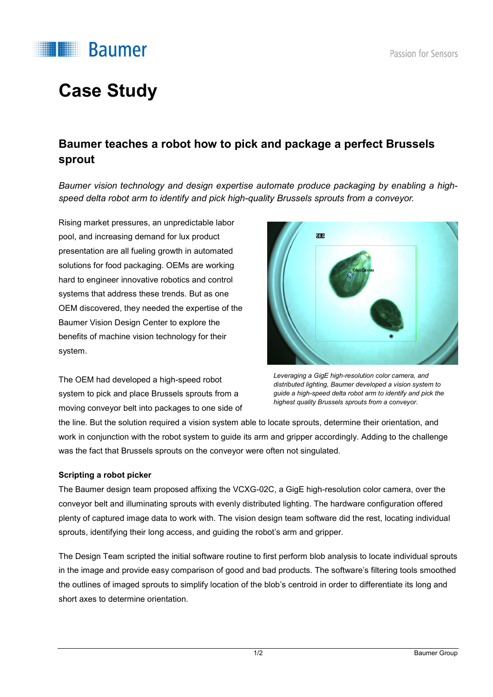

# **Case Study**

### **Baumer teaches a robot how to pick and package a perfect Brussels sprout**

*Baumer vision technology and design expertise automate produce packaging by enabling a highspeed delta robot arm to identify and pick high-quality Brussels sprouts from a conveyor.*

Rising market pressures, an unpredictable labor pool, and increasing demand for lux product presentation are all fueling growth in automated solutions for food packaging. OEMs are working hard to engineer innovative robotics and control systems that address these trends. But as one OEM discovered, they needed the expertise of the Baumer Vision Design Center to explore the benefits of machine vision technology for their system.

The OEM had developed a high-speed robot system to pick and place Brussels sprouts from a moving conveyor belt into packages to one side of



*Leveraging a GigE high-resolution color camera, and distributed lighting, Baumer developed a vision system to guide a high-speed delta robot arm to identify and pick the highest quality Brussels sprouts from a conveyor.*

the line. But the solution required a vision system able to locate sprouts, determine their orientation, and work in conjunction with the robot system to guide its arm and gripper accordingly. Adding to the challenge was the fact that Brussels sprouts on the conveyor were often not singulated.

### **Scripting a robot picker**

The Baumer design team proposed affixing the VCXG-02C, a GigE high-resolution color camera, over the conveyor belt and illuminating sprouts with evenly distributed lighting. The hardware configuration offered plenty of captured image data to work with. The vision design team software did the rest, locating individual sprouts, identifying their long access, and guiding the robot's arm and gripper.

The Design Team scripted the initial software routine to first perform blob analysis to locate individual sprouts in the image and provide easy comparison of good and bad products. The software's filtering tools smoothed the outlines of imaged sprouts to simplify location of the blob's centroid in order to differentiate its long and short axes to determine orientation.